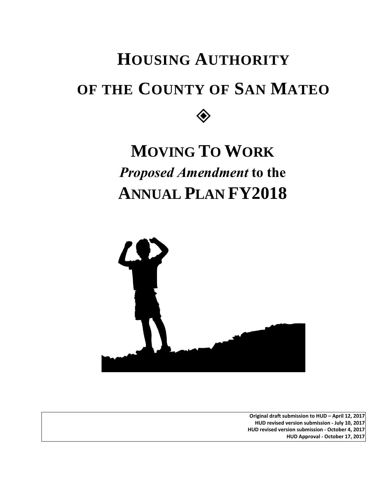# **HOUSING AUTHORITY OF THE COUNTY OF SAN MATEO**  $\diamondsuit$

# **MOVING TO WORK**  *Proposed Amendment* **to the ANNUAL PLAN FY2018**



**Original draft submission to HUD – April 12, 2017 HUD revised version submission - July 10, 2017 HUD revised version submission - October 4, 2017 HUD Approval - October 17, 2017**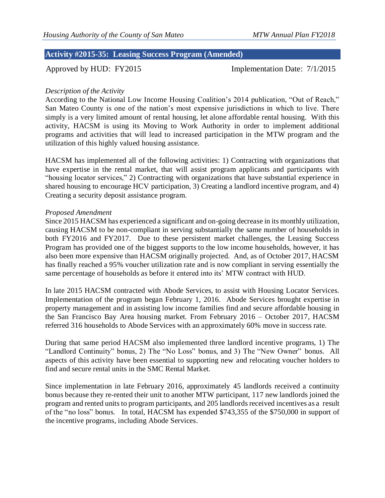## **Activity #2015-35: Leasing Success Program (Amended)**

Approved by HUD: FY2015 Implementation Date: 7/1/2015

### *Description of the Activity*

According to the National Low Income Housing Coalition's 2014 publication, "Out of Reach," San Mateo County is one of the nation's most expensive jurisdictions in which to live. There simply is a very limited amount of rental housing, let alone affordable rental housing. With this activity, HACSM is using its Moving to Work Authority in order to implement additional programs and activities that will lead to increased participation in the MTW program and the utilization of this highly valued housing assistance.

HACSM has implemented all of the following activities: 1) Contracting with organizations that have expertise in the rental market, that will assist program applicants and participants with "housing locator services," 2) Contracting with organizations that have substantial experience in shared housing to encourage HCV participation, 3) Creating a landlord incentive program, and 4) Creating a security deposit assistance program.

#### *Proposed Amendment*

Since 2015 HACSM has experienced a significant and on-going decrease in its monthly utilization, causing HACSM to be non-compliant in serving substantially the same number of households in both FY2016 and FY2017. Due to these persistent market challenges, the Leasing Success Program has provided one of the biggest supports to the low income households, however, it has also been more expensive than HACSM originally projected. And, as of October 2017, HACSM has finally reached a 95% voucher utilization rate and is now compliant in serving essentially the same percentage of households as before it entered into its' MTW contract with HUD.

In late 2015 HACSM contracted with Abode Services, to assist with Housing Locator Services. Implementation of the program began February 1, 2016. Abode Services brought expertise in property management and in assisting low income families find and secure affordable housing in the San Francisco Bay Area housing market. From February 2016 – October 2017, HACSM referred 316 households to Abode Services with an approximately 60% move in success rate.

During that same period HACSM also implemented three landlord incentive programs, 1) The "Landlord Continuity" bonus, 2) The "No Loss" bonus, and 3) The "New Owner" bonus. All aspects of this activity have been essential to supporting new and relocating voucher holders to find and secure rental units in the SMC Rental Market.

Since implementation in late February 2016, approximately 45 landlords received a continuity bonus because they re-rented their unit to another MTW participant, 117 new landlords joined the program and rented units to program participants, and 205 landlords received incentives as a result of the "no loss" bonus. In total, HACSM has expended \$743,355 of the \$750,000 in support of the incentive programs, including Abode Services.